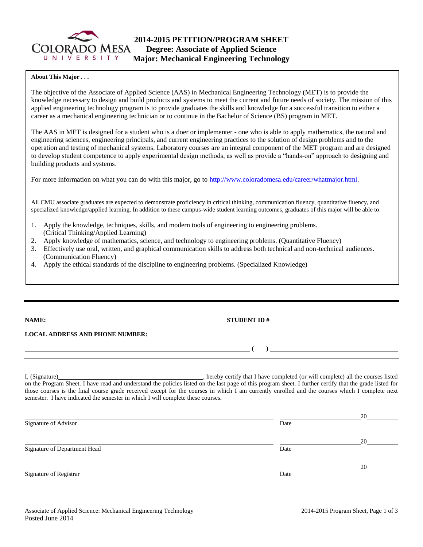

### **About This Major . . .**

The objective of the Associate of Applied Science (AAS) in Mechanical Engineering Technology (MET) is to provide the knowledge necessary to design and build products and systems to meet the current and future needs of society. The mission of this applied engineering technology program is to provide graduates the skills and knowledge for a successful transition to either a career as a mechanical engineering technician or to continue in the Bachelor of Science (BS) program in MET.

The AAS in MET is designed for a student who is a doer or implementer - one who is able to apply mathematics, the natural and engineering sciences, engineering principals, and current engineering practices to the solution of design problems and to the operation and testing of mechanical systems. Laboratory courses are an integral component of the MET program and are designed to develop student competence to apply experimental design methods, as well as provide a "hands-on" approach to designing and building products and systems.

For more information on what you can do with this major, go to [http://www.coloradomesa.edu/career/whatmajor.html.](http://www.coloradomesa.edu/career/whatmajor.html)

All CMU associate graduates are expected to demonstrate proficiency in critical thinking, communication fluency, quantitative fluency, and specialized knowledge/applied learning. In addition to these campus-wide student learning outcomes, graduates of this major will be able to:

- 1. Apply the knowledge, techniques, skills, and modern tools of engineering to engineering problems. (Critical Thinking/Applied Learning)
- 2. Apply knowledge of mathematics, science, and technology to engineering problems. (Quantitative Fluency)
- 3. Effectively use oral, written, and graphical communication skills to address both technical and non-technical audiences. (Communication Fluency)
- 4. Apply the ethical standards of the discipline to engineering problems. (Specialized Knowledge)

**NAME: STUDENT ID #**

**( )** 

**LOCAL ADDRESS AND PHONE NUMBER:**

I, (Signature) , hereby certify that I have completed (or will complete) all the courses listed on the Program Sheet. I have read and understand the policies listed on the last page of this program sheet. I further certify that the grade listed for those courses is the final course grade received except for the courses in which I am currently enrolled and the courses which I complete next semester. I have indicated the semester in which I will complete these courses.

|                              |      | 20 |
|------------------------------|------|----|
| Signature of Advisor         | Date |    |
|                              |      | 20 |
| Signature of Department Head | Date |    |
|                              |      | 20 |
| Signature of Registrar       | Date |    |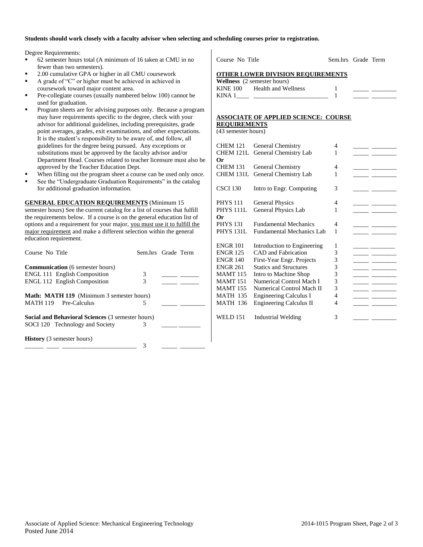### **Students should work closely with a faculty advisor when selecting and scheduling courses prior to registration.**

Degree Requirements:

- 62 semester hours total (A minimum of 16 taken at CMU in no fewer than two semesters).
- 2.00 cumulative GPA or higher in all CMU coursework
- A grade of "C" or higher must be achieved in achieved in coursework toward major content area.
- Pre-collegiate courses (usually numbered below 100) cannot be used for graduation.
- Program sheets are for advising purposes only. Because a program may have requirements specific to the degree, check with your advisor for additional guidelines, including prerequisites, grade point averages, grades, exit examinations, and other expectations. It is the student's responsibility to be aware of, and follow, all guidelines for the degree being pursued. Any exceptions or substitutions must be approved by the faculty advisor and/or Department Head. Courses related to teacher licensure must also be approved by the Teacher Education Dept.
- When filling out the program sheet a course can be used only once.
- See the "Undergraduate Graduation Requirements" in the catalog for additional graduation information.

#### **GENERAL EDUCATION REQUIREMENTS** (Minimum 15

semester hours) See the current catalog for a list of courses that fulfill the requirements below. If a course is on the general education list of options and a requirement for your major, you must use it to fulfill the major requirement and make a different selection within the general education requirement.

| Course No Title                                   |   | Sem.hrs Grade Term |
|---------------------------------------------------|---|--------------------|
| <b>Communication</b> (6 semester hours)           |   |                    |
| <b>ENGL 111 English Composition</b>               | 3 |                    |
| <b>ENGL 112 English Composition</b>               | 3 |                    |
| <b>Math: MATH 119</b> (Minimum 3 semester hours)  |   |                    |
| <b>MATH 119</b><br>Pre-Calculus                   | 5 |                    |
| Social and Behavioral Sciences (3 semester hours) |   |                    |
| SOCI 120 Technology and Society                   | 3 |                    |
| <b>History</b> (3 semester hours)                 |   |                    |
|                                                   | 3 |                    |

| Course No Title                   | Sem.hrs Grade Term |  |
|-----------------------------------|--------------------|--|
| OTHER LOWER DIVISION REOUIREMENTS |                    |  |

|          | <b>Wellness</b> (2 semester hours) |  |  |
|----------|------------------------------------|--|--|
| KINE 100 | Health and Wellness                |  |  |
| KINA 1   |                                    |  |  |

### **ASSOCIATE OF APPLIED SCIENCE: COURSE**

**REQUIREMENTS** (43 semester hours)

| <b>CHEM 121</b><br><b>CHEM 121L</b><br>Or | General Chemistry<br>General Chemistry Lab | 4<br>1         |  |
|-------------------------------------------|--------------------------------------------|----------------|--|
| <b>CHEM 131</b>                           | General Chemistry                          | 4              |  |
| <b>CHEM 131L</b>                          | General Chemistry Lab                      | 1              |  |
| <b>CSCI 130</b>                           | Intro to Engr. Computing                   | 3              |  |
| <b>PHYS 111</b>                           | <b>General Physics</b>                     | 4              |  |
| <b>PHYS 111L</b>                          | General Physics Lab                        | 1              |  |
| Оr                                        |                                            |                |  |
| <b>PHYS 131</b>                           | <b>Fundamental Mechanics</b>               | 4              |  |
| <b>PHYS 131L</b>                          | Fundamental Mechanics Lab                  | 1              |  |
| <b>ENGR 101</b>                           | Introduction to Engineering                | 1              |  |
| <b>ENGR 125</b>                           | CAD and Fabrication                        | 3              |  |
| <b>ENGR 140</b>                           | First-Year Engr. Projects                  | 3              |  |
| <b>ENGR 261</b>                           | <b>Statics and Structures</b>              | 3              |  |
| <b>MAMT 115</b>                           | Intro to Machine Shop                      | 3              |  |
| <b>MAMT 151</b>                           | Numerical Control Mach I                   | 3              |  |
| <b>MAMT</b> 155                           | Numerical Control Mach II                  | 3              |  |
| <b>MATH 135</b>                           | <b>Engineering Calculus I</b>              | $\overline{4}$ |  |
| <b>MATH 136</b>                           | <b>Engineering Calculus II</b>             | 4              |  |
| WELD 151                                  | Industrial Welding                         | 3              |  |